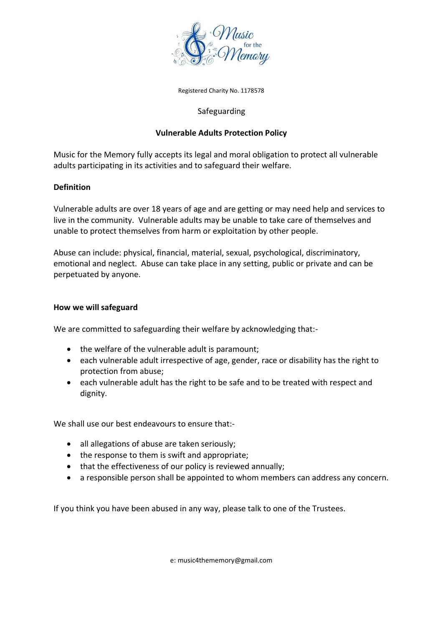

Registered Charity No. 1178578

## Safeguarding

## **Vulnerable Adults Protection Policy**

Music for the Memory fully accepts its legal and moral obligation to protect all vulnerable adults participating in its activities and to safeguard their welfare.

## **Definition**

Vulnerable adults are over 18 years of age and are getting or may need help and services to live in the community. Vulnerable adults may be unable to take care of themselves and unable to protect themselves from harm or exploitation by other people.

Abuse can include: physical, financial, material, sexual, psychological, discriminatory, emotional and neglect. Abuse can take place in any setting, public or private and can be perpetuated by anyone.

## **How we will safeguard**

We are committed to safeguarding their welfare by acknowledging that:-

- the welfare of the vulnerable adult is paramount;
- each vulnerable adult irrespective of age, gender, race or disability has the right to protection from abuse;
- each vulnerable adult has the right to be safe and to be treated with respect and dignity.

We shall use our best endeavours to ensure that:-

- all allegations of abuse are taken seriously;
- the response to them is swift and appropriate;
- that the effectiveness of our policy is reviewed annually;
- a responsible person shall be appointed to whom members can address any concern.

If you think you have been abused in any way, please talk to one of the Trustees.

e: music4thememory@gmail.com